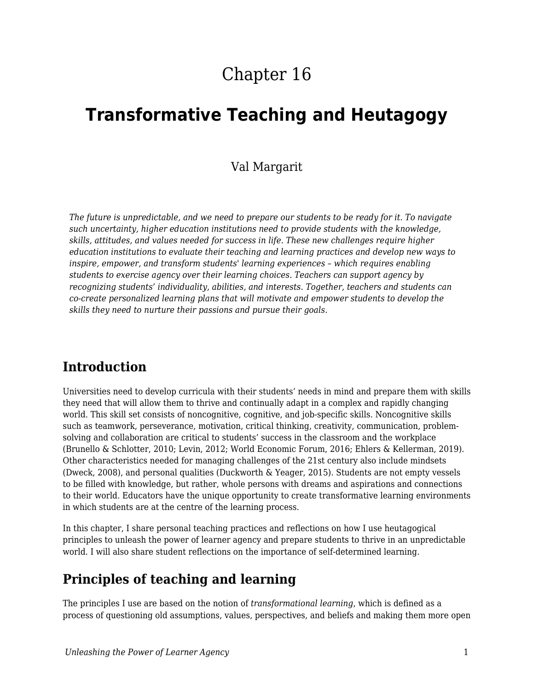# Chapter 16

# **Transformative Teaching and Heutagogy**

### Val Margarit

*The future is unpredictable, and we need to prepare our students to be ready for it. To navigate such uncertainty, higher education institutions need to provide students with the knowledge, skills, attitudes, and values needed for success in life. These new challenges require higher education institutions to evaluate their teaching and learning practices and develop new ways to inspire, empower, and transform students' learning experiences – which requires enabling students to exercise agency over their learning choices. Teachers can support agency by recognizing students' individuality, abilities, and interests. Together, teachers and students can co-create personalized learning plans that will motivate and empower students to develop the skills they need to nurture their passions and pursue their goals.*

## **Introduction**

Universities need to develop curricula with their students' needs in mind and prepare them with skills they need that will allow them to thrive and continually adapt in a complex and rapidly changing world. This skill set consists of noncognitive, cognitive, and job-specific skills. Noncognitive skills such as teamwork, perseverance, motivation, critical thinking, creativity, communication, problemsolving and collaboration are critical to students' success in the classroom and the workplace (Brunello & Schlotter, 2010; Levin, 2012; World Economic Forum, 2016; Ehlers & Kellerman, 2019). Other characteristics needed for managing challenges of the 21st century also include mindsets (Dweck, 2008), and personal qualities (Duckworth & Yeager, 2015). Students are not empty vessels to be filled with knowledge, but rather, whole persons with dreams and aspirations and connections to their world. Educators have the unique opportunity to create transformative learning environments in which students are at the centre of the learning process.

In this chapter, I share personal teaching practices and reflections on how I use heutagogical principles to unleash the power of learner agency and prepare students to thrive in an unpredictable world. I will also share student reflections on the importance of self-determined learning.

# **Principles of teaching and learning**

The principles I use are based on the notion of *transformational learning*, which is defined as a process of questioning old assumptions, values, perspectives, and beliefs and making them more open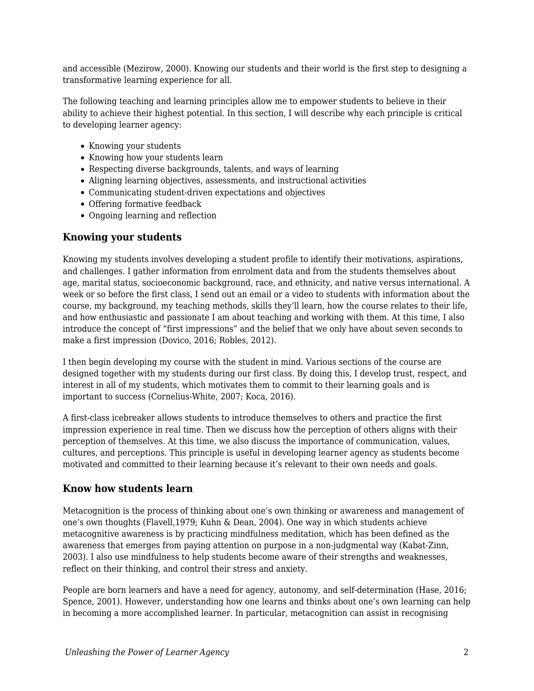and accessible (Mezirow, 2000). Knowing our students and their world is the first step to designing a transformative learning experience for all.

The following teaching and learning principles allow me to empower students to believe in their ability to achieve their highest potential. In this section, I will describe why each principle is critical to developing learner agency:

- Knowing your students
- Knowing how your students learn
- Respecting diverse backgrounds, talents, and ways of learning
- Aligning learning objectives, assessments, and instructional activities
- Communicating student-driven expectations and objectives
- Offering formative feedback
- Ongoing learning and reflection

### **Knowing your students**

Knowing my students involves developing a student profile to identify their motivations, aspirations, and challenges. I gather information from enrolment data and from the students themselves about age, marital status, socioeconomic background, race, and ethnicity, and native versus international. A week or so before the first class, I send out an email or a video to students with information about the course, my background, my teaching methods, skills they'll learn, how the course relates to their life, and how enthusiastic and passionate I am about teaching and working with them. At this time, I also introduce the concept of "first impressions" and the belief that we only have about seven seconds to make a first impression (Dovico, 2016; Robles, 2012).

I then begin developing my course with the student in mind. Various sections of the course are designed together with my students during our first class. By doing this, I develop trust, respect, and interest in all of my students, which motivates them to commit to their learning goals and is important to success (Cornelius-White, 2007; Koca, 2016).

A first-class icebreaker allows students to introduce themselves to others and practice the first impression experience in real time. Then we discuss how the perception of others aligns with their perception of themselves. At this time, we also discuss the importance of communication, values, cultures, and perceptions. This principle is useful in developing learner agency as students become motivated and committed to their learning because it's relevant to their own needs and goals.

### **Know how students learn**

Metacognition is the process of thinking about one's own thinking or awareness and management of one's own thoughts (Flavell,1979; Kuhn & Dean, 2004). One way in which students achieve metacognitive awareness is by practicing mindfulness meditation, which has been defined as the awareness that emerges from paying attention on purpose in a non-judgmental way (Kabat-Zinn, 2003). I also use mindfulness to help students become aware of their strengths and weaknesses, reflect on their thinking, and control their stress and anxiety.

People are born learners and have a need for agency, autonomy, and self-determination (Hase, 2016; Spence, 2001). However, understanding how one learns and thinks about one's own learning can help in becoming a more accomplished learner. In particular, metacognition can assist in recognising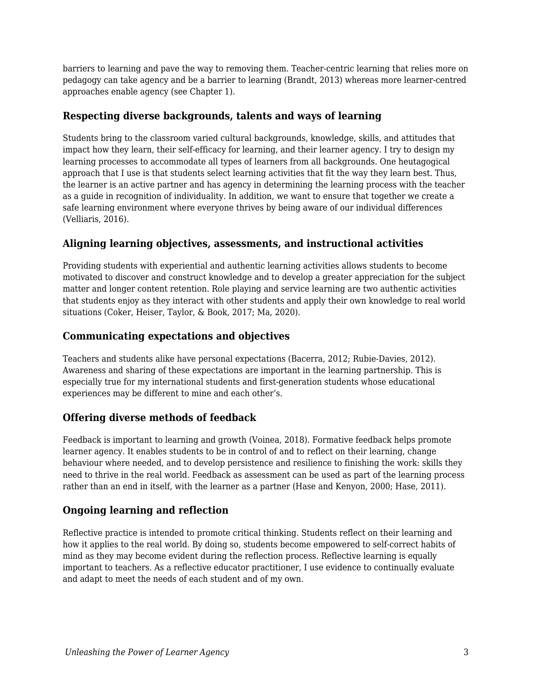barriers to learning and pave the way to removing them. Teacher-centric learning that relies more on pedagogy can take agency and be a barrier to learning (Brandt, 2013) whereas more learner-centred approaches enable agency (see Chapter 1).

### **Respecting diverse backgrounds, talents and ways of learning**

Students bring to the classroom varied cultural backgrounds, knowledge, skills, and attitudes that impact how they learn, their self-efficacy for learning, and their learner agency. I try to design my learning processes to accommodate all types of learners from all backgrounds. One heutagogical approach that I use is that students select learning activities that fit the way they learn best. Thus, the learner is an active partner and has agency in determining the learning process with the teacher as a guide in recognition of individuality. In addition, we want to ensure that together we create a safe learning environment where everyone thrives by being aware of our individual differences (Velliaris, 2016).

### **Aligning learning objectives, assessments, and instructional activities**

Providing students with experiential and authentic learning activities allows students to become motivated to discover and construct knowledge and to develop a greater appreciation for the subject matter and longer content retention. Role playing and service learning are two authentic activities that students enjoy as they interact with other students and apply their own knowledge to real world situations (Coker, Heiser, Taylor, & Book, 2017; Ma, 2020).

### **Communicating expectations and objectives**

Teachers and students alike have personal expectations (Bacerra, 2012; Rubie-Davies, 2012). Awareness and sharing of these expectations are important in the learning partnership. This is especially true for my international students and first-generation students whose educational experiences may be different to mine and each other's.

### **Offering diverse methods of feedback**

Feedback is important to learning and growth (Voinea, 2018). Formative feedback helps promote learner agency. It enables students to be in control of and to reflect on their learning, change behaviour where needed, and to develop persistence and resilience to finishing the work: skills they need to thrive in the real world. Feedback as assessment can be used as part of the learning process rather than an end in itself, with the learner as a partner (Hase and Kenyon, 2000; Hase, 2011).

### **Ongoing learning and reflection**

Reflective practice is intended to promote critical thinking. Students reflect on their learning and how it applies to the real world. By doing so, students become empowered to self-correct habits of mind as they may become evident during the reflection process. Reflective learning is equally important to teachers. As a reflective educator practitioner, I use evidence to continually evaluate and adapt to meet the needs of each student and of my own.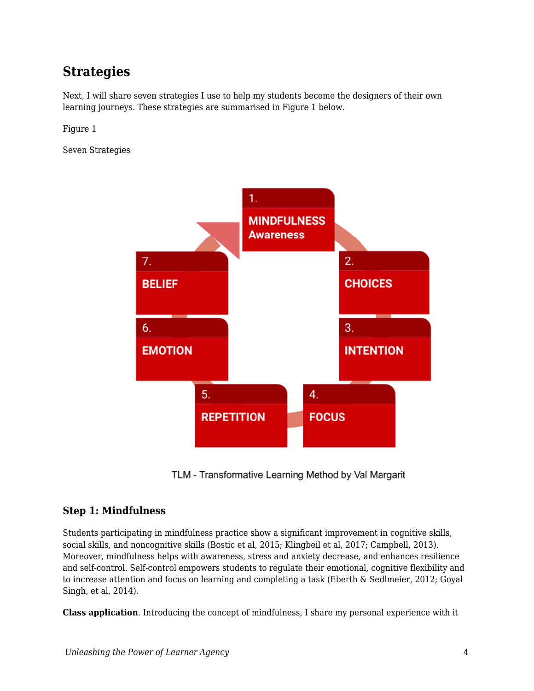# **Strategies**

Next, I will share seven strategies I use to help my students become the designers of their own learning journeys. These strategies are summarised in Figure 1 below.

Figure 1

Seven Strategies



TLM - Transformative Learning Method by Val Margarit

### **Step 1: Mindfulness**

Students participating in mindfulness practice show a significant improvement in cognitive skills, social skills, and noncognitive skills (Bostic et al, 2015; Klingbeil et al, 2017; Campbell, 2013). Moreover, mindfulness helps with awareness, stress and anxiety decrease, and enhances resilience and self-control. Self-control empowers students to regulate their emotional, cognitive flexibility and to increase attention and focus on learning and completing a task (Eberth & Sedlmeier, 2012; Goyal Singh, et al, 2014).

**Class application**. Introducing the concept of mindfulness, I share my personal experience with it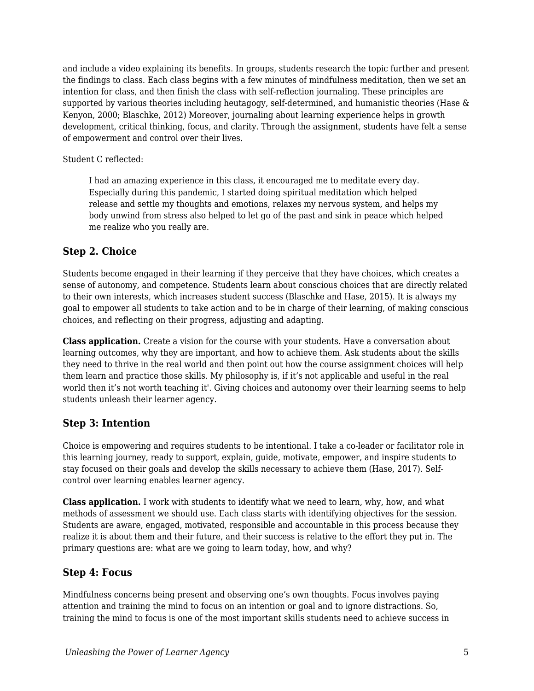and include a video explaining its benefits. In groups, students research the topic further and present the findings to class. Each class begins with a few minutes of mindfulness meditation, then we set an intention for class, and then finish the class with self-reflection journaling. These principles are supported by various theories including heutagogy, self-determined, and humanistic theories (Hase & Kenyon, 2000; Blaschke, 2012) Moreover, journaling about learning experience helps in growth development, critical thinking, focus, and clarity. Through the assignment, students have felt a sense of empowerment and control over their lives.

#### Student C reflected:

I had an amazing experience in this class, it encouraged me to meditate every day. Especially during this pandemic, I started doing spiritual meditation which helped release and settle my thoughts and emotions, relaxes my nervous system, and helps my body unwind from stress also helped to let go of the past and sink in peace which helped me realize who you really are.

### **Step 2. Choice**

Students become engaged in their learning if they perceive that they have choices, which creates a sense of autonomy, and competence. Students learn about conscious choices that are directly related to their own interests, which increases student success (Blaschke and Hase, 2015). It is always my goal to empower all students to take action and to be in charge of their learning, of making conscious choices, and reflecting on their progress, adjusting and adapting.

**Class application.** Create a vision for the course with your students. Have a conversation about learning outcomes, why they are important, and how to achieve them. Ask students about the skills they need to thrive in the real world and then point out how the course assignment choices will help them learn and practice those skills. My philosophy is, if it's not applicable and useful in the real world then it's not worth teaching it'. Giving choices and autonomy over their learning seems to help students unleash their learner agency.

### **Step 3: Intention**

Choice is empowering and requires students to be intentional. I take a co-leader or facilitator role in this learning journey, ready to support, explain, guide, motivate, empower, and inspire students to stay focused on their goals and develop the skills necessary to achieve them (Hase, 2017). Selfcontrol over learning enables learner agency.

**Class application.** I work with students to identify what we need to learn, why, how, and what methods of assessment we should use. Each class starts with identifying objectives for the session. Students are aware, engaged, motivated, responsible and accountable in this process because they realize it is about them and their future, and their success is relative to the effort they put in. The primary questions are: what are we going to learn today, how, and why?

### **Step 4: Focus**

Mindfulness concerns being present and observing one's own thoughts. Focus involves paying attention and training the mind to focus on an intention or goal and to ignore distractions. So, training the mind to focus is one of the most important skills students need to achieve success in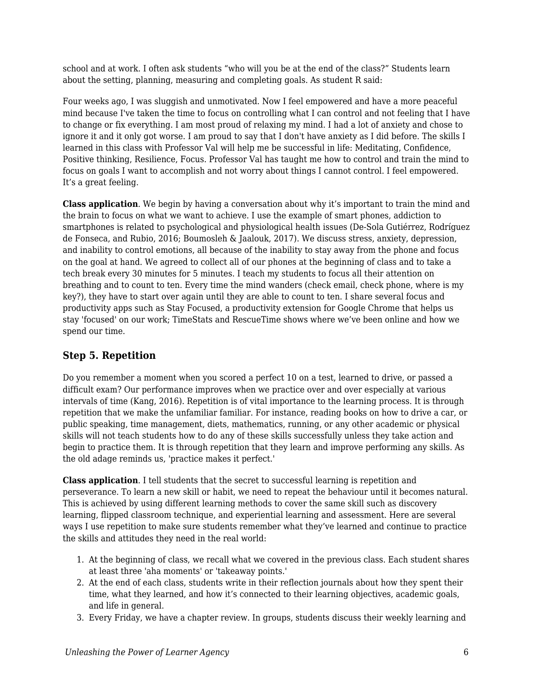school and at work. I often ask students "who will you be at the end of the class?" Students learn about the setting, planning, measuring and completing goals. As student R said:

Four weeks ago, I was sluggish and unmotivated. Now I feel empowered and have a more peaceful mind because I've taken the time to focus on controlling what I can control and not feeling that I have to change or fix everything. I am most proud of relaxing my mind. I had a lot of anxiety and chose to ignore it and it only got worse. I am proud to say that I don't have anxiety as I did before. The skills I learned in this class with Professor Val will help me be successful in life: Meditating, Confidence, Positive thinking, Resilience, Focus. Professor Val has taught me how to control and train the mind to focus on goals I want to accomplish and not worry about things I cannot control. I feel empowered. It's a great feeling.

**Class application**. We begin by having a conversation about why it's important to train the mind and the brain to focus on what we want to achieve. I use the example of smart phones, addiction to smartphones is related to psychological and physiological health issues (De-Sola Gutiérrez, Rodríguez de Fonseca, and Rubio, 2016; Boumosleh & Jaalouk, 2017). We discuss stress, anxiety, depression, and inability to control emotions, all because of the inability to stay away from the phone and focus on the goal at hand. We agreed to collect all of our phones at the beginning of class and to take a tech break every 30 minutes for 5 minutes. I teach my students to focus all their attention on breathing and to count to ten. Every time the mind wanders (check email, check phone, where is my key?), they have to start over again until they are able to count to ten. I share several focus and productivity apps such as Stay Focused, a productivity extension for Google Chrome that helps us stay 'focused' on our work; TimeStats and RescueTime shows where we've been online and how we spend our time.

### **Step 5. Repetition**

Do you remember a moment when you scored a perfect 10 on a test, learned to drive, or passed a difficult exam? Our performance improves when we practice over and over especially at various intervals of time (Kang, 2016). Repetition is of vital importance to the learning process. It is through repetition that we make the unfamiliar familiar. For instance, reading books on how to drive a car, or public speaking, time management, diets, mathematics, running, or any other academic or physical skills will not teach students how to do any of these skills successfully unless they take action and begin to practice them. It is through repetition that they learn and improve performing any skills. As the old adage reminds us, 'practice makes it perfect.'

**Class application**. I tell students that the secret to successful learning is repetition and perseverance. To learn a new skill or habit, we need to repeat the behaviour until it becomes natural. This is achieved by using different learning methods to cover the same skill such as discovery learning, flipped classroom technique, and experiential learning and assessment. Here are several ways I use repetition to make sure students remember what they've learned and continue to practice the skills and attitudes they need in the real world:

- 1. At the beginning of class, we recall what we covered in the previous class. Each student shares at least three 'aha moments' or 'takeaway points.'
- 2. At the end of each class, students write in their reflection journals about how they spent their time, what they learned, and how it's connected to their learning objectives, academic goals, and life in general.
- 3. Every Friday, we have a chapter review. In groups, students discuss their weekly learning and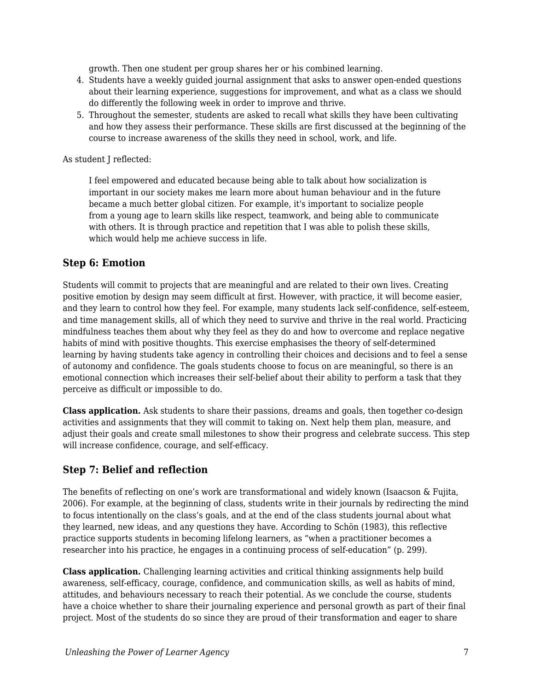growth. Then one student per group shares her or his combined learning.

- 4. Students have a weekly guided journal assignment that asks to answer open-ended questions about their learning experience, suggestions for improvement, and what as a class we should do differently the following week in order to improve and thrive.
- 5. Throughout the semester, students are asked to recall what skills they have been cultivating and how they assess their performance. These skills are first discussed at the beginning of the course to increase awareness of the skills they need in school, work, and life.

As student J reflected:

I feel empowered and educated because being able to talk about how socialization is important in our society makes me learn more about human behaviour and in the future became a much better global citizen. For example, it's important to socialize people from a young age to learn skills like respect, teamwork, and being able to communicate with others. It is through practice and repetition that I was able to polish these skills, which would help me achieve success in life.

### **Step 6: Emotion**

Students will commit to projects that are meaningful and are related to their own lives. Creating positive emotion by design may seem difficult at first. However, with practice, it will become easier, and they learn to control how they feel. For example, many students lack self-confidence, self-esteem, and time management skills, all of which they need to survive and thrive in the real world. Practicing mindfulness teaches them about why they feel as they do and how to overcome and replace negative habits of mind with positive thoughts. This exercise emphasises the theory of self-determined learning by having students take agency in controlling their choices and decisions and to feel a sense of autonomy and confidence. The goals students choose to focus on are meaningful, so there is an emotional connection which increases their self-belief about their ability to perform a task that they perceive as difficult or impossible to do.

**Class application.** Ask students to share their passions, dreams and goals, then together co-design activities and assignments that they will commit to taking on. Next help them plan, measure, and adjust their goals and create small milestones to show their progress and celebrate success. This step will increase confidence, courage, and self-efficacy.

### **Step 7: Belief and reflection**

The benefits of reflecting on one's work are transformational and widely known (Isaacson & Fujita, 2006). For example, at the beginning of class, students write in their journals by redirecting the mind to focus intentionally on the class's goals, and at the end of the class students journal about what they learned, new ideas, and any questions they have. According to Schön (1983), this reflective practice supports students in becoming lifelong learners, as "when a practitioner becomes a researcher into his practice, he engages in a continuing process of self-education" (p. 299).

**Class application.** Challenging learning activities and critical thinking assignments help build awareness, self-efficacy, courage, confidence, and communication skills, as well as habits of mind, attitudes, and behaviours necessary to reach their potential. As we conclude the course, students have a choice whether to share their journaling experience and personal growth as part of their final project. Most of the students do so since they are proud of their transformation and eager to share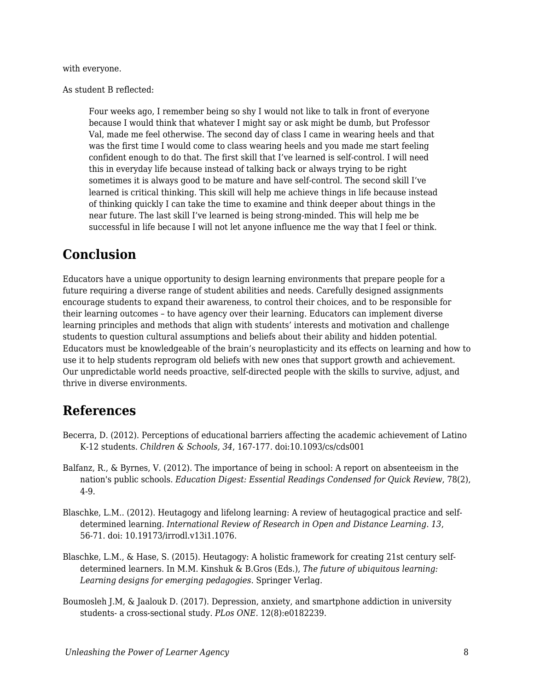with everyone.

As student B reflected:

Four weeks ago, I remember being so shy I would not like to talk in front of everyone because I would think that whatever I might say or ask might be dumb, but Professor Val, made me feel otherwise. The second day of class I came in wearing heels and that was the first time I would come to class wearing heels and you made me start feeling confident enough to do that. The first skill that I've learned is self-control. I will need this in everyday life because instead of talking back or always trying to be right sometimes it is always good to be mature and have self-control. The second skill I've learned is critical thinking. This skill will help me achieve things in life because instead of thinking quickly I can take the time to examine and think deeper about things in the near future. The last skill I've learned is being strong-minded. This will help me be successful in life because I will not let anyone influence me the way that I feel or think.

# **Conclusion**

Educators have a unique opportunity to design learning environments that prepare people for a future requiring a diverse range of student abilities and needs. Carefully designed assignments encourage students to expand their awareness, to control their choices, and to be responsible for their learning outcomes – to have agency over their learning. Educators can implement diverse learning principles and methods that align with students' interests and motivation and challenge students to question cultural assumptions and beliefs about their ability and hidden potential. Educators must be knowledgeable of the brain's neuroplasticity and its effects on learning and how to use it to help students reprogram old beliefs with new ones that support growth and achievement. Our unpredictable world needs proactive, self-directed people with the skills to survive, adjust, and thrive in diverse environments.

## **References**

- Becerra, D. (2012). Perceptions of educational barriers affecting the academic achievement of Latino K-12 students. *Children & Schools, 34*, 167-177. doi:10.1093/cs/cds001
- Balfanz, R., & Byrnes, V. (2012). The importance of being in school: A report on absenteeism in the nation's public schools. *Education Digest: Essential Readings Condensed for Quick Review*, 78(2), 4-9.
- Blaschke, L.M.. (2012). Heutagogy and lifelong learning: A review of heutagogical practice and selfdetermined learning*. International Review of Research in Open and Distance Learning*. *13*, 56-71. doi: 10.19173/irrodl.v13i1.1076.
- Blaschke, L.M., & Hase, S. (2015). Heutagogy: A holistic framework for creating 21st century selfdetermined learners. In M.M. Kinshuk & B.Gros (Eds.), *The future of ubiquitous learning: Learning designs for emerging pedagogies*. Springer Verlag.
- Boumosleh J.M, & Jaalouk D. (2017). Depression, anxiety, and smartphone addiction in university students- a cross-sectional study. *PLos ONE.* 12(8):e0182239.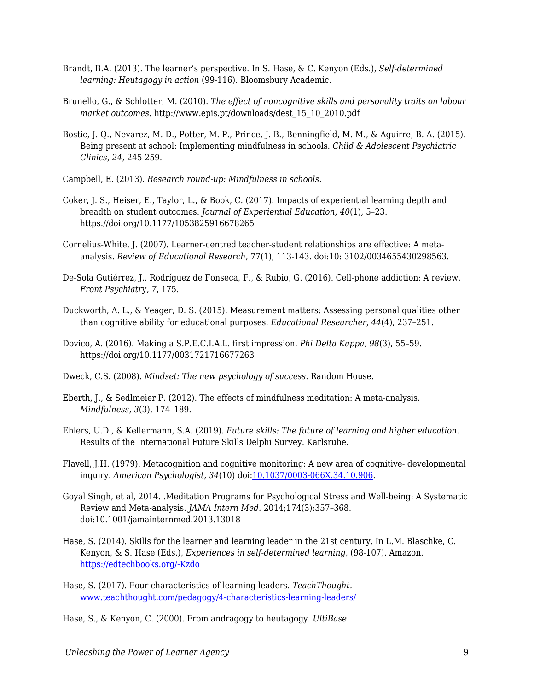- Brandt, B.A. (2013). The learner's perspective. In S. Hase, & C. Kenyon (Eds.), *Self-determined learning: Heutagogy in action* (99-116). Bloomsbury Academic.
- Brunello, G., & Schlotter, M. (2010). *The effect of noncognitive skills and personality traits on labour market outcomes*. http://www.epis.pt/downloads/dest\_15\_10\_2010.pdf
- Bostic, J. Q., Nevarez, M. D., Potter, M. P., Prince, J. B., Benningfield, M. M., & Aguirre, B. A. (2015). Being present at school: Implementing mindfulness in schools. *Child & Adolescent Psychiatric Clinics, 24,* 245-259.
- Campbell, E. (2013). *Research round-up: Mindfulness in schools.*
- Coker, J. S., Heiser, E., Taylor, L., & Book, C. (2017). Impacts of experiential learning depth and breadth on student outcomes. *Journal of Experiential Education, 40*(1), 5–23. https://doi.org/10.1177/1053825916678265
- Cornelius-White, J. (2007). Learner-centred teacher-student relationships are effective: A metaanalysis. *Review of Educational Research*, 77(1), 113-143. doi:10: 3102/0034655430298563.
- De-Sola Gutiérrez, J., Rodríguez de Fonseca, F., & Rubio, G. (2016). Cell-phone addiction: A review*. Front Psychiatr*y*, 7*, 175.
- Duckworth, A. L., & Yeager, D. S. (2015). Measurement matters: Assessing personal qualities other than cognitive ability for educational purposes. *Educational Researcher, 44*(4), 237–251.
- Dovico, A. (2016). Making a S.P.E.C.I.A.L. first impression. *Phi Delta Kappa, 98*(3), 55–59. https://doi.org/10.1177/0031721716677263
- Dweck, C.S. (2008). *Mindset: The new psychology of success*. Random House.
- Eberth, J., & Sedlmeier P. (2012). The effects of mindfulness meditation: A meta-analysis. *Mindfulness, 3*(3), 174–189.
- Ehlers, U.D., & Kellermann, S.A. (2019). *Future skills: The future of learning and higher education*. Results of the International Future Skills Delphi Survey. Karlsruhe.
- Flavell, J.H. (1979). Metacognition and cognitive monitoring: A new area of cognitive- developmental inquiry. *American Psychologist, 34*(10) doi:[10.1037/0003-066X.34.10.906.](http://dx.doi.org/10.1037/0003-066X.34.10.906)
- Goyal Singh, et al, 2014. .Meditation Programs for Psychological Stress and Well-being: A Systematic Review and Meta-analysis. *JAMA Intern Med.* 2014;174(3):357–368. doi:10.1001/jamainternmed.2013.13018
- Hase, S. (2014). Skills for the learner and learning leader in the 21st century. In L.M. Blaschke, C. Kenyon, & S. Hase (Eds.), *Experiences in self-determined learning*, (98-107). Amazon. [https://edtechbooks.org/-Kzdo](https://uol.de/coer/announcements/free-oer-now-available-experiences-in-self-determined-learning/)
- Hase, S. (2017). Four characteristics of learning leaders. *TeachThought.* [www.teachthought.com/pedagogy/4-characteristics-learning-leaders/](http://www.teachthought.com/pedagogy/4-characteristics-learning-leaders/)
- Hase, S., & Kenyon, C. (2000). From andragogy to heutagogy. *UltiBase*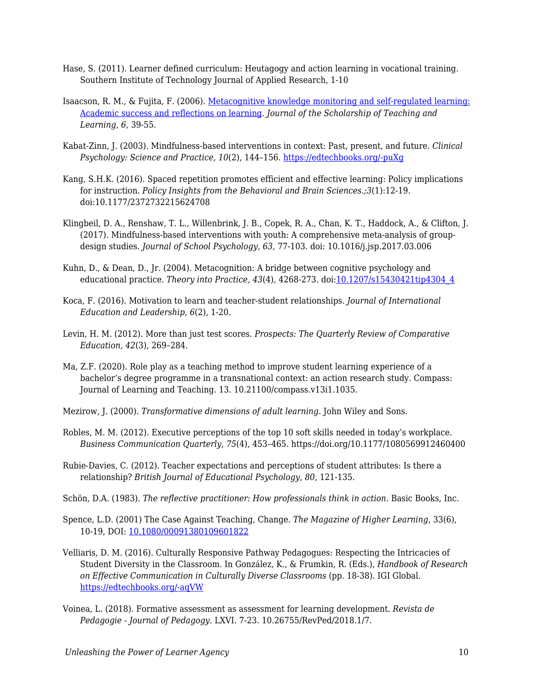- Hase, S. (2011). Learner defined curriculum: Heutagogy and action learning in vocational training. Southern Institute of Technology Journal of Applied Research, 1-10
- Isaacson, R. M., & Fujita, F. (2006). [Metacognitive knowledge monitoring and self-regulated learning:](https://cdn.vanderbilt.edu/vu-wp0/wp-content/uploads/sites/59/2010/06/27125856/Isaacson2007Meta.pdf) [Academic success and reflections on learning.](https://cdn.vanderbilt.edu/vu-wp0/wp-content/uploads/sites/59/2010/06/27125856/Isaacson2007Meta.pdf) *Journal of the Scholarship of Teaching and Learning*, *6*, 39-55.
- Kabat-Zinn, J. (2003). Mindfulness-based interventions in context: Past, present, and future. *Clinical Psychology: Science and Practice, 10*(2), 144–156. [https://edtechbooks.org/-puXg](https://psycnet.apa.org/doi/10.1093/clipsy.bpg016)
- Kang, S.H.K. (2016). Spaced repetition promotes efficient and effective learning: Policy implications for instruction. *Policy Insights from the Behavioral and Brain Sciences.;3*(1):12-19. doi:10.1177/2372732215624708
- Klingbeil, D. A., Renshaw, T. L., Willenbrink, J. B., Copek, R. A., Chan, K. T., Haddock, A., & Clifton, J. (2017). Mindfulness-based interventions with youth: A comprehensive meta-analysis of groupdesign studies. *Journal of School Psychology, 63*, 77-103. doi: 10.1016/j.jsp.2017.03.006
- Kuhn, D., & Dean, D., Jr. (2004). Metacognition: A bridge between cognitive psychology and educational practice. *Theory into Practice, 43*(4), 4268-273. doi:[10.1207/s15430421tip4304\\_4](http://dx.doi.org/10.1207/s15430421tip4304_4)
- Koca, F. (2016). Motivation to learn and teacher-student relationships. *Journal of International Education and Leadership, 6*(2), 1-20.
- Levin, H. M. (2012). More than just test scores. *Prospects: The Quarterly Review of Comparative Education, 42*(3), 269–284.
- Ma, Z.F. (2020). Role play as a teaching method to improve student learning experience of a bachelor's degree programme in a transnational context: an action research study. Compass: Journal of Learning and Teaching. 13. 10.21100/compass.v13i1.1035.
- Mezirow, J. (2000). *Transformative dimensions of adult learning*. John Wiley and Sons.
- Robles, M. M. (2012). Executive perceptions of the top 10 soft skills needed in today's workplace. *Business Communication Quarterly, 75*(4), 453–465. https://doi.org/10.1177/1080569912460400
- Rubie-Davies, C. (2012). Teacher expectations and perceptions of student attributes: Is there a relationship? *British Journal of Educational Psychology*, *80*, 121-135.
- Schön, D.A. (1983). *The reflective practitioner: How professionals think in action*. Basic Books, Inc.
- Spence, L.D. (2001) The Case Against Teaching, Change. *The Magazine of Higher Learning*, 33(6), 10-19, DOI: [10.1080/00091380109601822](https://doi.org/10.1080/00091380109601822)
- Velliaris, D. M. (2016). Culturally Responsive Pathway Pedagogues: Respecting the Intricacies of Student Diversity in the Classroom. In González, K., & Frumkin, R. (Eds.), *Handbook of Research on Effective Communication in Culturally Diverse Classrooms* (pp. 18-38). IGI Global. [https://edtechbooks.org/-aqVW](https://edtechbooks.org/up/about:blank)
- Voinea, L. (2018). Formative assessment as assessment for learning development. *Revista de Pedagogie - Journal of Pedagogy*. LXVI. 7-23. 10.26755/RevPed/2018.1/7.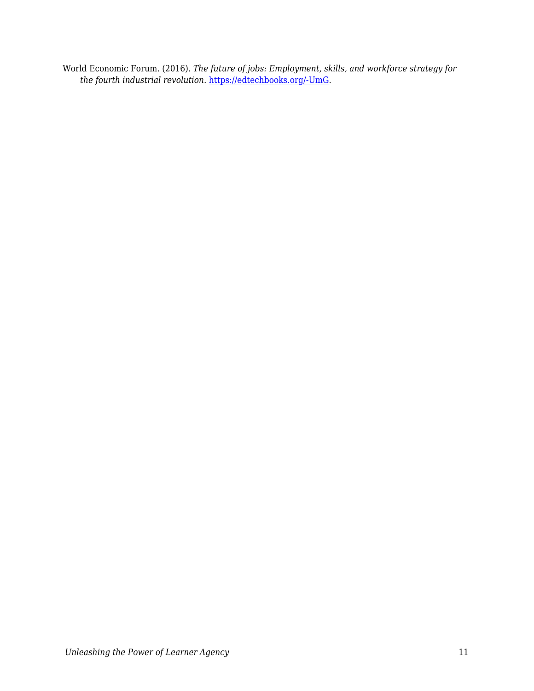World Economic Forum. (2016). *The future of jobs: Employment, skills, and workforce strategy for the fourth industrial revolution*. [https://edtechbooks.org/-UmG](http://www3.weforum.org/docs/WEF_Future_of_Jobs.pdf).